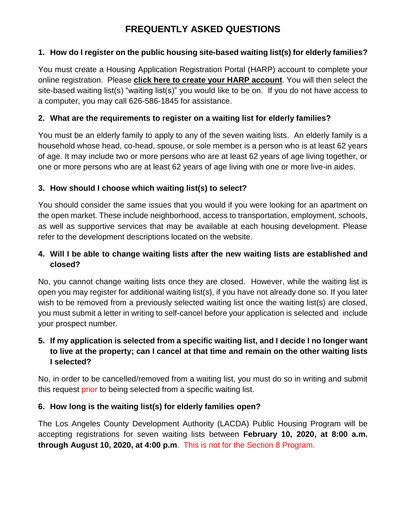# **FREQUENTLY ASKED QUESTIONS**

#### **1. How do I register on the public housing site-based waiting list(s) for elderly families?**

You must create a Housing Application Registration Portal (HARP) account to complete your online registration. Please **click here to create your HARP account**. You will then select the site-based waiting list(s) "waiting list(s)" you would like to be on. If you do not have access to a computer, you may call 626-586-1845 for assistance.

#### **2. What are the requirements to register on a waiting list for elderly families?**

You must be an elderly family to apply to any of the seven waiting lists. An elderly family is a household whose head, co-head, spouse, or sole member is a person who is at least 62 years of age. It may include two or more persons who are at least 62 years of age living together, or one or more persons who are at least 62 years of age living with one or more live-in aides.

#### **3. How should I choose which waiting list(s) to select?**

You should consider the same issues that you would if you were looking for an apartment on the open market. These include neighborhood, access to transportation, employment, schools, as well as supportive services that may be available at each housing development. Please refer to the development descriptions located on the website.

### **4. Will I be able to change waiting lists after the new waiting lists are established and closed?**

No, you cannot change waiting lists once they are closed. However, while the waiting list is open you may register for additional waiting list(s), if you have not already done so. If you later wish to be removed from a previously selected waiting list once the waiting list(s) are closed, you must submit a letter in writing to self-cancel before your application is selected and include your prospect number.

#### **5. If my application is selected from a specific waiting list, and I decide I no longer want to live at the property; can I cancel at that time and remain on the other waiting lists I selected?**

No, in order to be cancelled/removed from a waiting list, you must do so in writing and submit this request prior to being selected from a specific waiting list.

#### **6. How long is the waiting list(s) for elderly families open?**

The Los Angeles County Development Authority (LACDA) Public Housing Program will be accepting registrations for seven waiting lists between **February 10, 2020, at 8:00 a.m. through August 10, 2020, at 4:00 p.m**. This is not for the Section 8 Program.